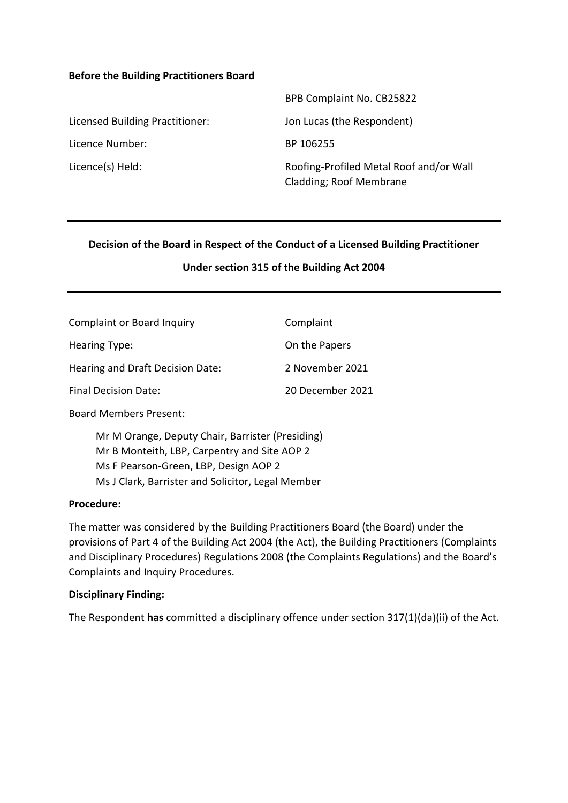#### **Before the Building Practitioners Board**

|                                 | BPB Complaint No. CB25822                                          |
|---------------------------------|--------------------------------------------------------------------|
| Licensed Building Practitioner: | Jon Lucas (the Respondent)                                         |
| Licence Number:                 | BP 106255                                                          |
| Licence(s) Held:                | Roofing-Profiled Metal Roof and/or Wall<br>Cladding; Roof Membrane |

#### **Decision of the Board in Respect of the Conduct of a Licensed Building Practitioner**

#### **Under section 315 of the Building Act 2004**

| <b>Complaint or Board Inquiry</b> | Complaint        |
|-----------------------------------|------------------|
| Hearing Type:                     | On the Papers    |
| Hearing and Draft Decision Date:  | 2 November 2021  |
| Final Decision Date:              | 20 December 2021 |

Board Members Present:

Mr M Orange, Deputy Chair, Barrister (Presiding) Mr B Monteith, LBP, Carpentry and Site AOP 2 Ms F Pearson-Green, LBP, Design AOP 2 Ms J Clark, Barrister and Solicitor, Legal Member

#### **Procedure:**

The matter was considered by the Building Practitioners Board (the Board) under the provisions of Part 4 of the Building Act 2004 (the Act), the Building Practitioners (Complaints and Disciplinary Procedures) Regulations 2008 (the Complaints Regulations) and the Board's Complaints and Inquiry Procedures.

#### **Disciplinary Finding:**

The Respondent **has** committed a disciplinary offence under section 317(1)(da)(ii) of the Act.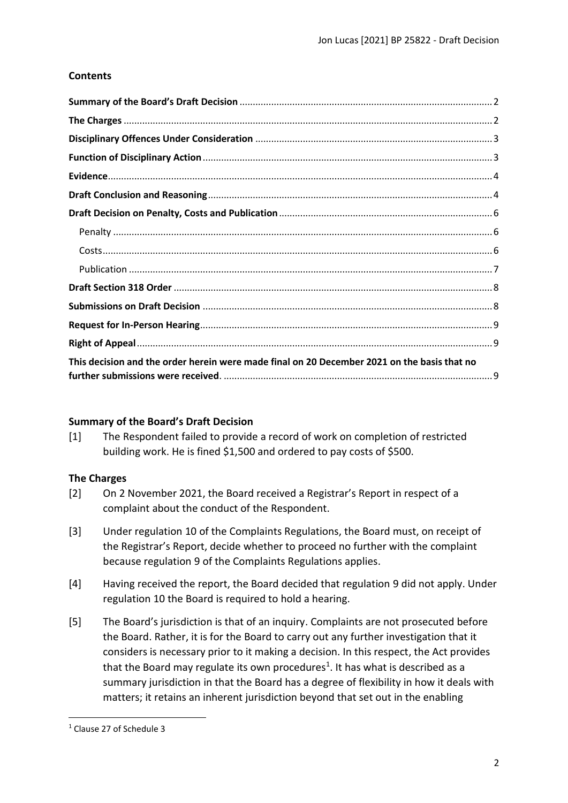# **Contents**

| This decision and the order herein were made final on 20 December 2021 on the basis that no |  |
|---------------------------------------------------------------------------------------------|--|

## <span id="page-1-0"></span>**Summary of the Board's Draft Decision**

[1] The Respondent failed to provide a record of work on completion of restricted building work. He is fined \$1,500 and ordered to pay costs of \$500.

## <span id="page-1-1"></span>**The Charges**

- [2] On 2 November 2021, the Board received a Registrar's Report in respect of a complaint about the conduct of the Respondent.
- [3] Under regulation 10 of the Complaints Regulations, the Board must, on receipt of the Registrar's Report, decide whether to proceed no further with the complaint because regulation 9 of the Complaints Regulations applies.
- [4] Having received the report, the Board decided that regulation 9 did not apply. Under regulation 10 the Board is required to hold a hearing.
- [5] The Board's jurisdiction is that of an inquiry. Complaints are not prosecuted before the Board. Rather, it is for the Board to carry out any further investigation that it considers is necessary prior to it making a decision. In this respect, the Act provides that the Board may regulate its own procedures<sup>1</sup>. It has what is described as a summary jurisdiction in that the Board has a degree of flexibility in how it deals with matters; it retains an inherent jurisdiction beyond that set out in the enabling

<sup>1</sup> Clause 27 of Schedule 3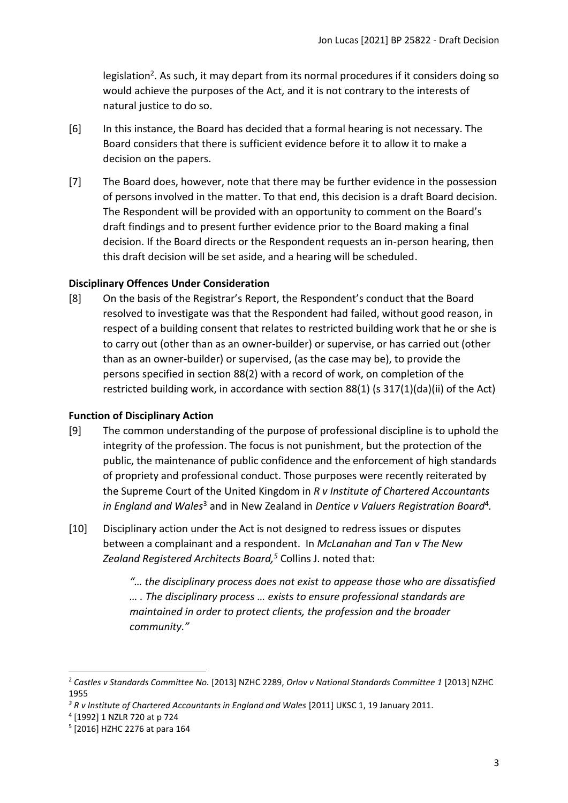legislation<sup>2</sup>. As such, it may depart from its normal procedures if it considers doing so would achieve the purposes of the Act, and it is not contrary to the interests of natural justice to do so.

- [6] In this instance, the Board has decided that a formal hearing is not necessary. The Board considers that there is sufficient evidence before it to allow it to make a decision on the papers.
- [7] The Board does, however, note that there may be further evidence in the possession of persons involved in the matter. To that end, this decision is a draft Board decision. The Respondent will be provided with an opportunity to comment on the Board's draft findings and to present further evidence prior to the Board making a final decision. If the Board directs or the Respondent requests an in-person hearing, then this draft decision will be set aside, and a hearing will be scheduled.

## <span id="page-2-0"></span>**Disciplinary Offences Under Consideration**

[8] On the basis of the Registrar's Report, the Respondent's conduct that the Board resolved to investigate was that the Respondent had failed, without good reason, in respect of a building consent that relates to restricted building work that he or she is to carry out (other than as an owner-builder) or supervise, or has carried out (other than as an owner-builder) or supervised, (as the case may be), to provide the persons specified in section 88(2) with a record of work, on completion of the restricted building work, in accordance with section 88(1) (s 317(1)(da)(ii) of the Act)

## <span id="page-2-1"></span>**Function of Disciplinary Action**

- [9] The common understanding of the purpose of professional discipline is to uphold the integrity of the profession. The focus is not punishment, but the protection of the public, the maintenance of public confidence and the enforcement of high standards of propriety and professional conduct. Those purposes were recently reiterated by the Supreme Court of the United Kingdom in *R v Institute of Chartered Accountants*  in England and Wales<sup>3</sup> and in New Zealand in Dentice v Valuers Registration Board<sup>4</sup>.
- [10] Disciplinary action under the Act is not designed to redress issues or disputes between a complainant and a respondent. In *McLanahan and Tan v The New Zealand Registered Architects Board, <sup>5</sup>* Collins J. noted that:
	- *"… the disciplinary process does not exist to appease those who are dissatisfied … . The disciplinary process … exists to ensure professional standards are maintained in order to protect clients, the profession and the broader community."*

<sup>2</sup> *Castles v Standards Committee No.* [2013] NZHC 2289, *Orlov v National Standards Committee 1* [2013] NZHC 1955

<sup>&</sup>lt;sup>3</sup> R v Institute of Chartered Accountants in England and Wales [2011] UKSC 1, 19 January 2011.

<sup>4</sup> [1992] 1 NZLR 720 at p 724

<sup>5</sup> [2016] HZHC 2276 at para 164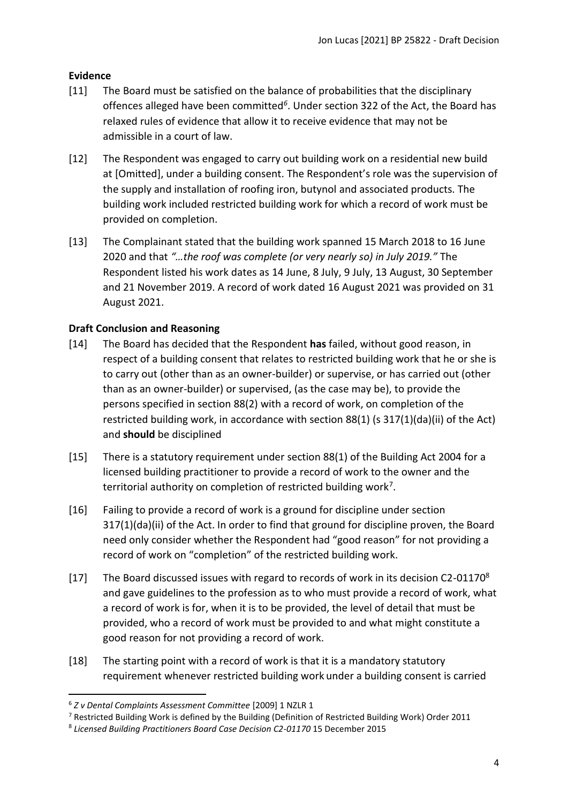# <span id="page-3-0"></span>**Evidence**

- [11] The Board must be satisfied on the balance of probabilities that the disciplinary offences alleged have been committed*<sup>6</sup>* . Under section 322 of the Act, the Board has relaxed rules of evidence that allow it to receive evidence that may not be admissible in a court of law.
- [12] The Respondent was engaged to carry out building work on a residential new build at [Omitted], under a building consent. The Respondent's role was the supervision of the supply and installation of roofing iron, butynol and associated products. The building work included restricted building work for which a record of work must be provided on completion.
- [13] The Complainant stated that the building work spanned 15 March 2018 to 16 June 2020 and that *"…the roof was complete (or very nearly so) in July 2019."* The Respondent listed his work dates as 14 June, 8 July, 9 July, 13 August, 30 September and 21 November 2019. A record of work dated 16 August 2021 was provided on 31 August 2021.

# <span id="page-3-1"></span>**Draft Conclusion and Reasoning**

- [14] The Board has decided that the Respondent **has** failed, without good reason, in respect of a building consent that relates to restricted building work that he or she is to carry out (other than as an owner-builder) or supervise, or has carried out (other than as an owner-builder) or supervised, (as the case may be), to provide the persons specified in section 88(2) with a record of work, on completion of the restricted building work, in accordance with section 88(1) (s 317(1)(da)(ii) of the Act) and **should** be disciplined
- [15] There is a statutory requirement under section 88(1) of the Building Act 2004 for a licensed building practitioner to provide a record of work to the owner and the territorial authority on completion of restricted building work<sup>7</sup>.
- [16] Failing to provide a record of work is a ground for discipline under section 317(1)(da)(ii) of the Act. In order to find that ground for discipline proven, the Board need only consider whether the Respondent had "good reason" for not providing a record of work on "completion" of the restricted building work.
- [17] The Board discussed issues with regard to records of work in its decision C2-01170<sup>8</sup> and gave guidelines to the profession as to who must provide a record of work, what a record of work is for, when it is to be provided, the level of detail that must be provided, who a record of work must be provided to and what might constitute a good reason for not providing a record of work.
- [18] The starting point with a record of work is that it is a mandatory statutory requirement whenever restricted building work under a building consent is carried

<sup>6</sup> *Z v Dental Complaints Assessment Committee* [2009] 1 NZLR 1

<sup>7</sup> Restricted Building Work is defined by the Building (Definition of Restricted Building Work) Order 2011

<sup>&</sup>lt;sup>8</sup> Licensed Building Practitioners Board Case Decision C2-01170 15 December 2015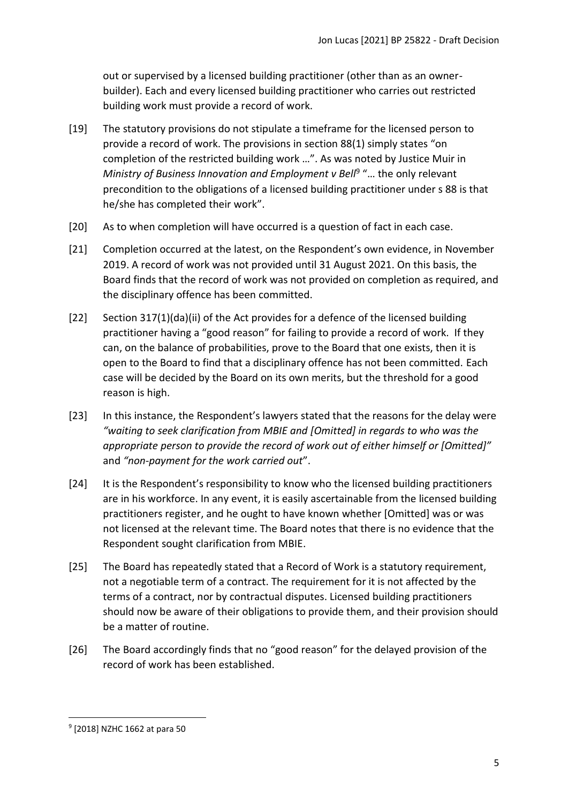out or supervised by a licensed building practitioner (other than as an ownerbuilder). Each and every licensed building practitioner who carries out restricted building work must provide a record of work.

- [19] The statutory provisions do not stipulate a timeframe for the licensed person to provide a record of work. The provisions in section 88(1) simply states "on completion of the restricted building work …". As was noted by Justice Muir in Ministry of Business Innovation and Employment v Bell<sup>9</sup> "... the only relevant precondition to the obligations of a licensed building practitioner under s 88 is that he/she has completed their work".
- [20] As to when completion will have occurred is a question of fact in each case.
- [21] Completion occurred at the latest, on the Respondent's own evidence, in November 2019. A record of work was not provided until 31 August 2021. On this basis, the Board finds that the record of work was not provided on completion as required, and the disciplinary offence has been committed.
- [22] Section 317(1)(da)(ii) of the Act provides for a defence of the licensed building practitioner having a "good reason" for failing to provide a record of work. If they can, on the balance of probabilities, prove to the Board that one exists, then it is open to the Board to find that a disciplinary offence has not been committed. Each case will be decided by the Board on its own merits, but the threshold for a good reason is high.
- [23] In this instance, the Respondent's lawyers stated that the reasons for the delay were *"waiting to seek clarification from MBIE and [Omitted] in regards to who was the appropriate person to provide the record of work out of either himself or [Omitted]"* and *"non-payment for the work carried out*".
- [24] It is the Respondent's responsibility to know who the licensed building practitioners are in his workforce. In any event, it is easily ascertainable from the licensed building practitioners register, and he ought to have known whether [Omitted] was or was not licensed at the relevant time. The Board notes that there is no evidence that the Respondent sought clarification from MBIE.
- [25] The Board has repeatedly stated that a Record of Work is a statutory requirement, not a negotiable term of a contract. The requirement for it is not affected by the terms of a contract, nor by contractual disputes. Licensed building practitioners should now be aware of their obligations to provide them, and their provision should be a matter of routine.
- [26] The Board accordingly finds that no "good reason" for the delayed provision of the record of work has been established.

<sup>9</sup> [2018] NZHC 1662 at para 50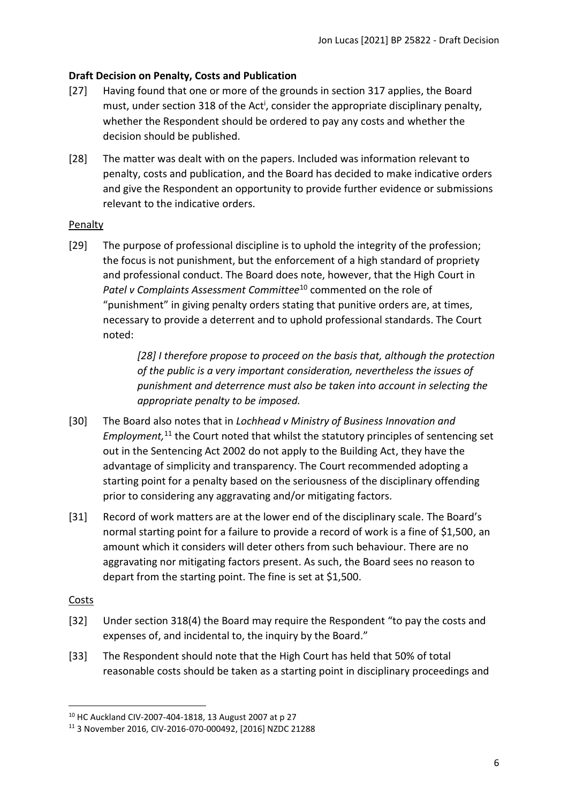## <span id="page-5-0"></span>**Draft Decision on Penalty, Costs and Publication**

- [27] Having found that one or more of the grounds in section 317 applies, the Board must, under section 318 of the Act<sup>i</sup>, consider the appropriate disciplinary penalty, whether the Respondent should be ordered to pay any costs and whether the decision should be published.
- [28] The matter was dealt with on the papers. Included was information relevant to penalty, costs and publication, and the Board has decided to make indicative orders and give the Respondent an opportunity to provide further evidence or submissions relevant to the indicative orders.

## <span id="page-5-1"></span>Penalty

[29] The purpose of professional discipline is to uphold the integrity of the profession; the focus is not punishment, but the enforcement of a high standard of propriety and professional conduct. The Board does note, however, that the High Court in Patel v Complaints Assessment Committee<sup>10</sup> commented on the role of "punishment" in giving penalty orders stating that punitive orders are, at times, necessary to provide a deterrent and to uphold professional standards. The Court noted:

> *[28] I therefore propose to proceed on the basis that, although the protection of the public is a very important consideration, nevertheless the issues of punishment and deterrence must also be taken into account in selecting the appropriate penalty to be imposed.*

- [30] The Board also notes that in *Lochhead v Ministry of Business Innovation and*  Employment,<sup>11</sup> the Court noted that whilst the statutory principles of sentencing set out in the Sentencing Act 2002 do not apply to the Building Act, they have the advantage of simplicity and transparency. The Court recommended adopting a starting point for a penalty based on the seriousness of the disciplinary offending prior to considering any aggravating and/or mitigating factors.
- [31] Record of work matters are at the lower end of the disciplinary scale. The Board's normal starting point for a failure to provide a record of work is a fine of \$1,500, an amount which it considers will deter others from such behaviour. There are no aggravating nor mitigating factors present. As such, the Board sees no reason to depart from the starting point. The fine is set at \$1,500.

## <span id="page-5-2"></span>Costs

- [32] Under section 318(4) the Board may require the Respondent "to pay the costs and expenses of, and incidental to, the inquiry by the Board."
- [33] The Respondent should note that the High Court has held that 50% of total reasonable costs should be taken as a starting point in disciplinary proceedings and

<sup>10</sup> HC Auckland CIV-2007-404-1818, 13 August 2007 at p 27

<sup>11</sup> 3 November 2016, CIV-2016-070-000492, [2016] NZDC 21288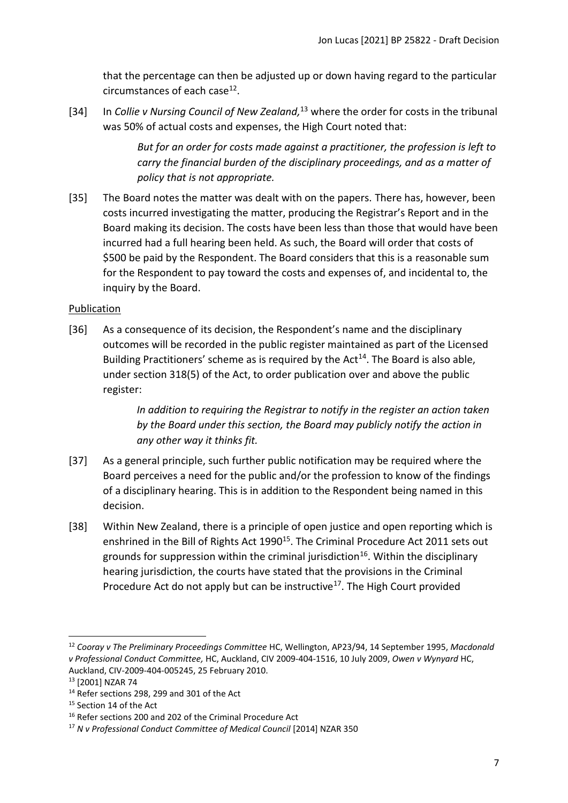that the percentage can then be adjusted up or down having regard to the particular circumstances of each case<sup>12</sup>.

[34] In *Collie v Nursing Council of New Zealand*,<sup>13</sup> where the order for costs in the tribunal was 50% of actual costs and expenses, the High Court noted that:

> *But for an order for costs made against a practitioner, the profession is left to carry the financial burden of the disciplinary proceedings, and as a matter of policy that is not appropriate.*

[35] The Board notes the matter was dealt with on the papers. There has, however, been costs incurred investigating the matter, producing the Registrar's Report and in the Board making its decision. The costs have been less than those that would have been incurred had a full hearing been held. As such, the Board will order that costs of \$500 be paid by the Respondent. The Board considers that this is a reasonable sum for the Respondent to pay toward the costs and expenses of, and incidental to, the inquiry by the Board.

# <span id="page-6-0"></span>Publication

[36] As a consequence of its decision, the Respondent's name and the disciplinary outcomes will be recorded in the public register maintained as part of the Licensed Building Practitioners' scheme as is required by the Act<sup>14</sup>. The Board is also able, under section 318(5) of the Act, to order publication over and above the public register:

> *In addition to requiring the Registrar to notify in the register an action taken by the Board under this section, the Board may publicly notify the action in any other way it thinks fit.*

- [37] As a general principle, such further public notification may be required where the Board perceives a need for the public and/or the profession to know of the findings of a disciplinary hearing. This is in addition to the Respondent being named in this decision.
- [38] Within New Zealand, there is a principle of open justice and open reporting which is enshrined in the Bill of Rights Act 1990<sup>15</sup>. The Criminal Procedure Act 2011 sets out grounds for suppression within the criminal jurisdiction<sup>16</sup>. Within the disciplinary hearing jurisdiction, the courts have stated that the provisions in the Criminal Procedure Act do not apply but can be instructive<sup>17</sup>. The High Court provided

<sup>12</sup> *Cooray v The Preliminary Proceedings Committee* HC, Wellington, AP23/94, 14 September 1995, *Macdonald v Professional Conduct Committee,* HC, Auckland, CIV 2009-404-1516, 10 July 2009, *Owen v Wynyard* HC, Auckland, CIV-2009-404-005245, 25 February 2010.

<sup>13</sup> [2001] NZAR 74

<sup>&</sup>lt;sup>14</sup> Refer sections 298, 299 and 301 of the Act

<sup>&</sup>lt;sup>15</sup> Section 14 of the Act

<sup>&</sup>lt;sup>16</sup> Refer sections 200 and 202 of the Criminal Procedure Act

<sup>17</sup> *N v Professional Conduct Committee of Medical Council* [2014] NZAR 350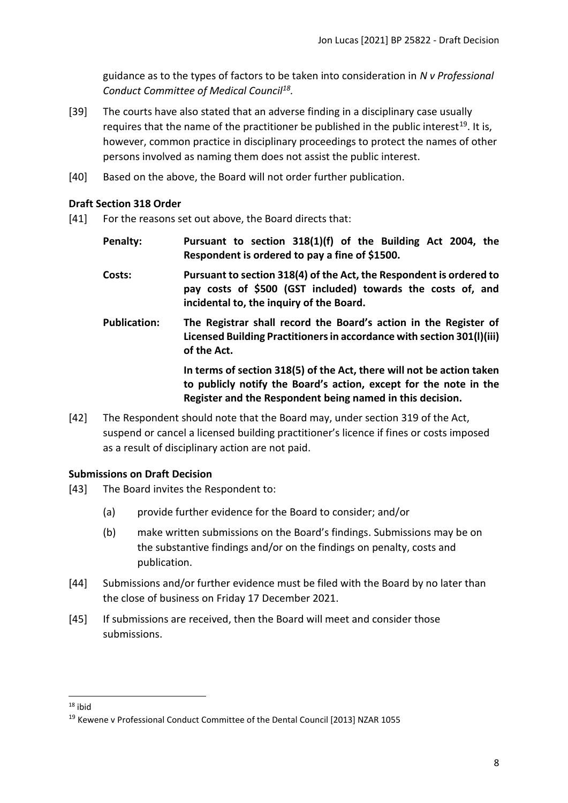guidance as to the types of factors to be taken into consideration in *N v Professional Conduct Committee of Medical Council<sup>18</sup> .* 

- [39] The courts have also stated that an adverse finding in a disciplinary case usually requires that the name of the practitioner be published in the public interest<sup>19</sup>. It is, however, common practice in disciplinary proceedings to protect the names of other persons involved as naming them does not assist the public interest.
- [40] Based on the above, the Board will not order further publication.

#### <span id="page-7-0"></span>**Draft Section 318 Order**

- [41] For the reasons set out above, the Board directs that:
	- **Penalty: Pursuant to section 318(1)(f) of the Building Act 2004, the Respondent is ordered to pay a fine of \$1500.**
	- **Costs: Pursuant to section 318(4) of the Act, the Respondent is ordered to pay costs of \$500 (GST included) towards the costs of, and incidental to, the inquiry of the Board.**
	- **Publication: The Registrar shall record the Board's action in the Register of Licensed Building Practitioners in accordance with section 301(l)(iii) of the Act.**

**In terms of section 318(5) of the Act, there will not be action taken to publicly notify the Board's action, except for the note in the Register and the Respondent being named in this decision.**

[42] The Respondent should note that the Board may, under section 319 of the Act, suspend or cancel a licensed building practitioner's licence if fines or costs imposed as a result of disciplinary action are not paid.

## <span id="page-7-1"></span>**Submissions on Draft Decision**

- [43] The Board invites the Respondent to:
	- (a) provide further evidence for the Board to consider; and/or
	- (b) make written submissions on the Board's findings. Submissions may be on the substantive findings and/or on the findings on penalty, costs and publication.
- [44] Submissions and/or further evidence must be filed with the Board by no later than the close of business on Friday 17 December 2021.
- [45] If submissions are received, then the Board will meet and consider those submissions.

<sup>18</sup> ibid

<sup>19</sup> Kewene v Professional Conduct Committee of the Dental Council [2013] NZAR 1055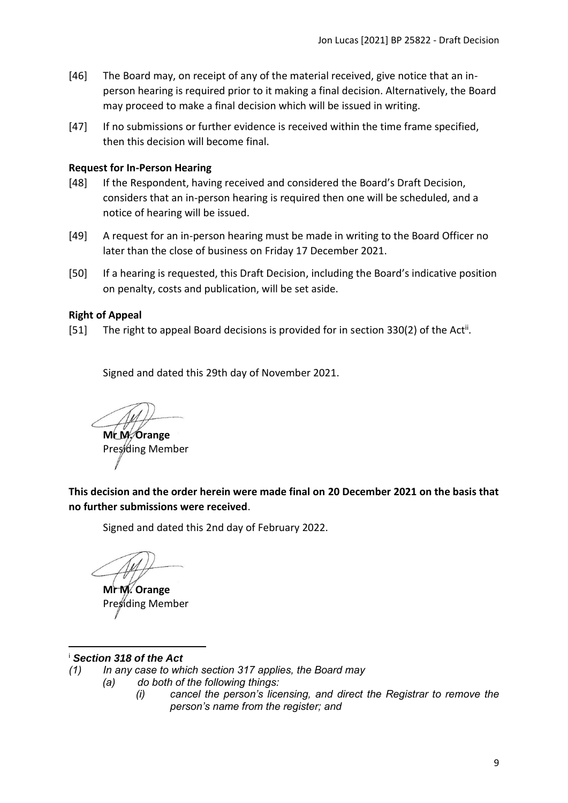- [46] The Board may, on receipt of any of the material received, give notice that an inperson hearing is required prior to it making a final decision. Alternatively, the Board may proceed to make a final decision which will be issued in writing.
- [47] If no submissions or further evidence is received within the time frame specified, then this decision will become final.

#### <span id="page-8-0"></span>**Request for In-Person Hearing**

- [48] If the Respondent, having received and considered the Board's Draft Decision, considers that an in-person hearing is required then one will be scheduled, and a notice of hearing will be issued.
- [49] A request for an in-person hearing must be made in writing to the Board Officer no later than the close of business on Friday 17 December 2021.
- [50] If a hearing is requested, this Draft Decision, including the Board's indicative position on penalty, costs and publication, will be set aside.

#### <span id="page-8-1"></span>**Right of Appeal**

[51] The right to appeal Board decisions is provided for in section 330(2) of the Act<sup>ii</sup>.

Signed and dated this 29th day of November 2021.

**Mr M. Orange**

Presiding Member

<span id="page-8-2"></span>**This decision and the order herein were made final on 20 December 2021 on the basis that no further submissions were received**.

Signed and dated this 2nd day of February 2022.

**Mr M. Orange** Presiding Member

#### <sup>i</sup> *Section 318 of the Act*

- *(1) In any case to which section 317 applies, the Board may*
	- *(a) do both of the following things:*
		- *(i) cancel the person's licensing, and direct the Registrar to remove the person's name from the register; and*